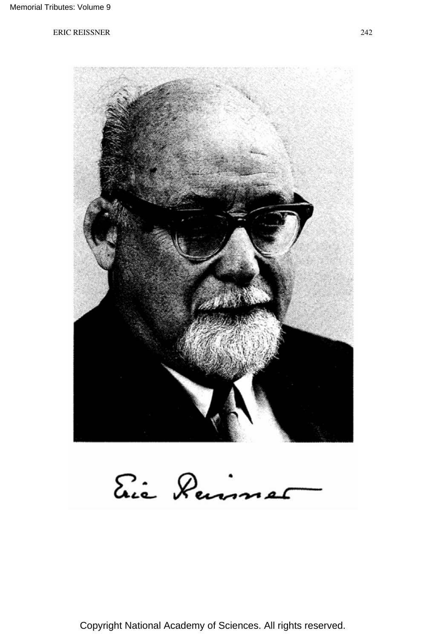

Copyright National Academy of Sciences. All rights reserved.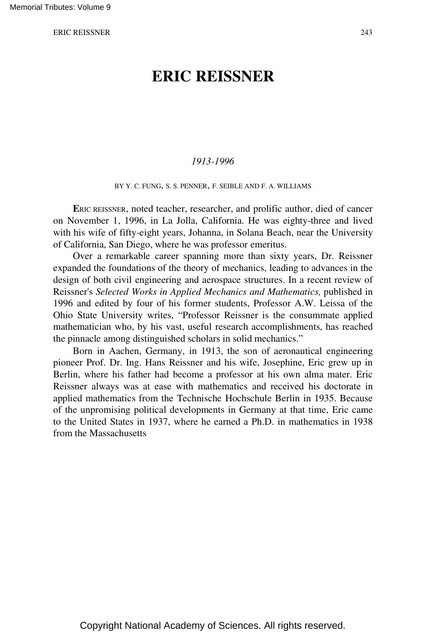# **ERIC REISSNER**

## *1913-1996*

#### BY Y. C. FUNG, S. S. PENNER, F. SEIBLE AND F. A. WILLIAMS

**E**RIC REISSNER, noted teacher, researcher, and prolific author, died of cancer on November 1, 1996, in La Jolla, California. He was eighty-three and lived with his wife of fifty-eight years, Johanna, in Solana Beach, near the University of California, San Diego, where he was professor emeritus.

Over a remarkable career spanning more than sixty years, Dr. Reissner expanded the foundations of the theory of mechanics, leading to advances in the design of both civil engineering and aerospace structures. In a recent review of Reissner's *Selected Works in Applied Mechanics and Mathematics,* published in 1996 and edited by four of his former students, Professor A.W. Leissa of the Ohio State University writes, "Professor Reissner is the consummate applied mathematician who, by his vast, useful research accomplishments, has reached the pinnacle among distinguished scholars in solid mechanics."

Born in Aachen, Germany, in 1913, the son of aeronautical engineering pioneer Prof. Dr. Ing. Hans Reissner and his wife, Josephine, Eric grew up in Berlin, where his father had become a professor at his own alma mater. Eric Reissner always was at ease with mathematics and received his doctorate in applied mathematics from the Technische Hochschule Berlin in 1935. Because of the unpromising political developments in Germany at that time, Eric came to the United States in 1937, where he earned a Ph.D. in mathematics in 1938 from the Massachusetts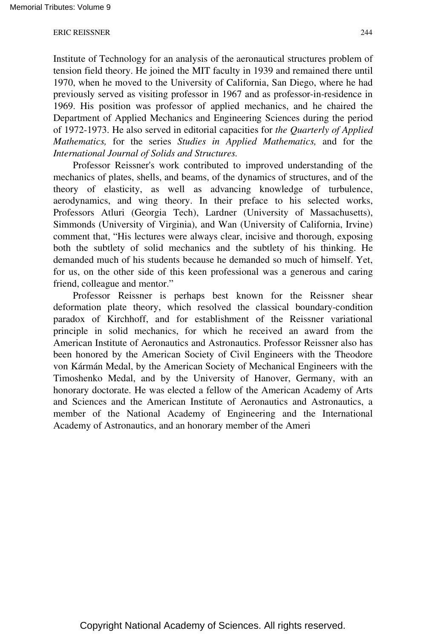Institute of Technology for an analysis of the aeronautical structures problem of tension field theory. He joined the MIT faculty in 1939 and remained there until 1970, when he moved to the University of California, San Diego, where he had previously served as visiting professor in 1967 and as professor-in-residence in 1969. His position was professor of applied mechanics, and he chaired the Department of Applied Mechanics and Engineering Sciences during the period of 1972-1973. He also served in editorial capacities for *the Quarterly of Applied Mathematics,* for the series *Studies in Applied Mathematics,* and for the *International Journal of Solids and Structures.*

Professor Reissner's work contributed to improved understanding of the mechanics of plates, shells, and beams, of the dynamics of structures, and of the theory of elasticity, as well as advancing knowledge of turbulence, aerodynamics, and wing theory. In their preface to his selected works, Professors Atluri (Georgia Tech), Lardner (University of Massachusetts), Simmonds (University of Virginia), and Wan (University of California, Irvine) comment that, "His lectures were always clear, incisive and thorough, exposing both the subtlety of solid mechanics and the subtlety of his thinking. He demanded much of his students because he demanded so much of himself. Yet, for us, on the other side of this keen professional was a generous and caring friend, colleague and mentor."

Professor Reissner is perhaps best known for the Reissner shear deformation plate theory, which resolved the classical boundary-condition paradox of Kirchhoff, and for establishment of the Reissner variational principle in solid mechanics, for which he received an award from the American Institute of Aeronautics and Astronautics. Professor Reissner also has been honored by the American Society of Civil Engineers with the Theodore von Kármán Medal, by the American Society of Mechanical Engineers with the Timoshenko Medal, and by the University of Hanover, Germany, with an honorary doctorate. He was elected a fellow of the American Academy of Arts and Sciences and the American Institute of Aeronautics and Astronautics, a member of the National Academy of Engineering and the International Academy of Astronautics, and an honorary member of the Ameri